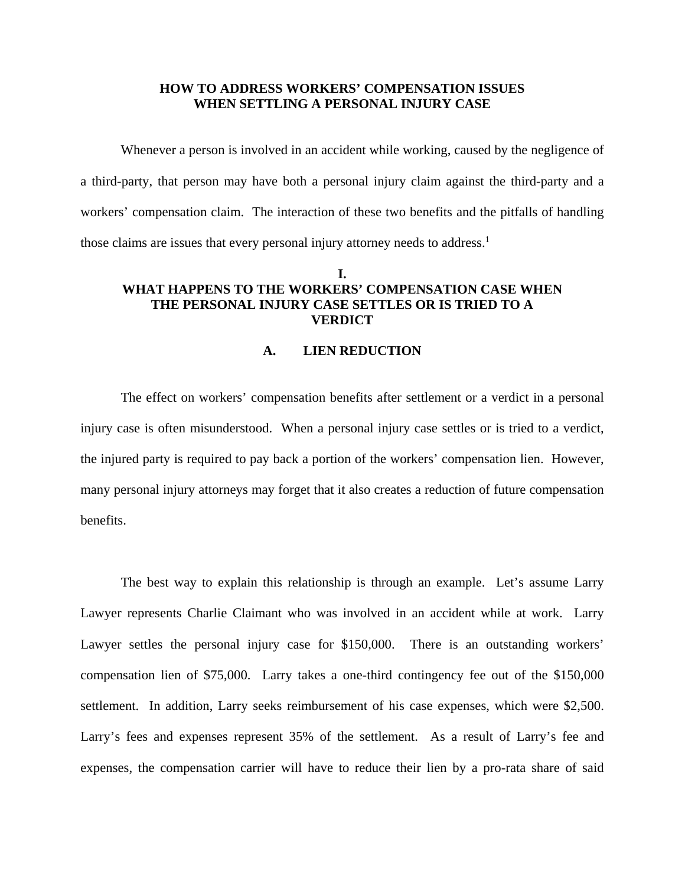#### **HOW TO ADDRESS WORKERS' COMPENSATION ISSUES WHEN SETTLING A PERSONAL INJURY CASE**

 Whenever a person is involved in an accident while working, caused by the negligence of a third-party, that person may have both a personal injury claim against the third-party and a workers' compensation claim. The interaction of these two benefits and the pitfalls of handling those claims are issues that every personal injury attorney needs to address.<sup>1</sup>

# **I. WHAT HAPPENS TO THE WORKERS' COMPENSATION CASE WHEN THE PERSONAL INJURY CASE SETTLES OR IS TRIED TO A VERDICT**

## **A. LIEN REDUCTION**

 The effect on workers' compensation benefits after settlement or a verdict in a personal injury case is often misunderstood. When a personal injury case settles or is tried to a verdict, the injured party is required to pay back a portion of the workers' compensation lien. However, many personal injury attorneys may forget that it also creates a reduction of future compensation benefits.

 The best way to explain this relationship is through an example. Let's assume Larry Lawyer represents Charlie Claimant who was involved in an accident while at work. Larry Lawyer settles the personal injury case for \$150,000. There is an outstanding workers' compensation lien of \$75,000. Larry takes a one-third contingency fee out of the \$150,000 settlement. In addition, Larry seeks reimbursement of his case expenses, which were \$2,500. Larry's fees and expenses represent 35% of the settlement. As a result of Larry's fee and expenses, the compensation carrier will have to reduce their lien by a pro-rata share of said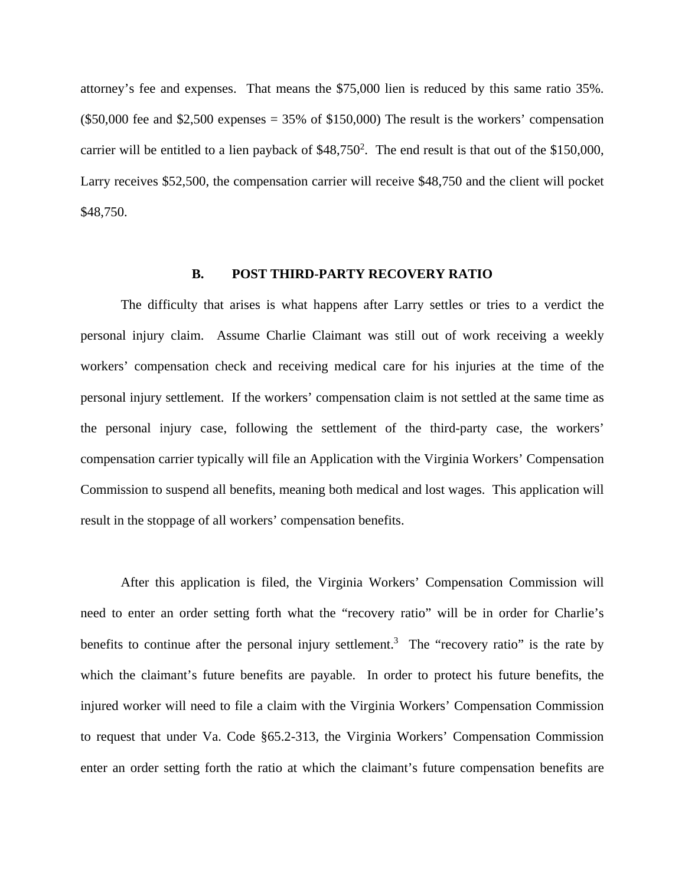attorney's fee and expenses. That means the \$75,000 lien is reduced by this same ratio 35%.  $($50,000$  fee and \$2,500 expenses = 35% of \$150,000) The result is the workers' compensation carrier will be entitled to a lien payback of  $$48,750^2$ . The end result is that out of the \$150,000, Larry receives \$52,500, the compensation carrier will receive \$48,750 and the client will pocket \$48,750.

#### **B. POST THIRD-PARTY RECOVERY RATIO**

 The difficulty that arises is what happens after Larry settles or tries to a verdict the personal injury claim. Assume Charlie Claimant was still out of work receiving a weekly workers' compensation check and receiving medical care for his injuries at the time of the personal injury settlement. If the workers' compensation claim is not settled at the same time as the personal injury case, following the settlement of the third-party case, the workers' compensation carrier typically will file an Application with the Virginia Workers' Compensation Commission to suspend all benefits, meaning both medical and lost wages. This application will result in the stoppage of all workers' compensation benefits.

 After this application is filed, the Virginia Workers' Compensation Commission will need to enter an order setting forth what the "recovery ratio" will be in order for Charlie's benefits to continue after the personal injury settlement.<sup>3</sup> The "recovery ratio" is the rate by which the claimant's future benefits are payable. In order to protect his future benefits, the injured worker will need to file a claim with the Virginia Workers' Compensation Commission to request that under Va. Code §65.2-313, the Virginia Workers' Compensation Commission enter an order setting forth the ratio at which the claimant's future compensation benefits are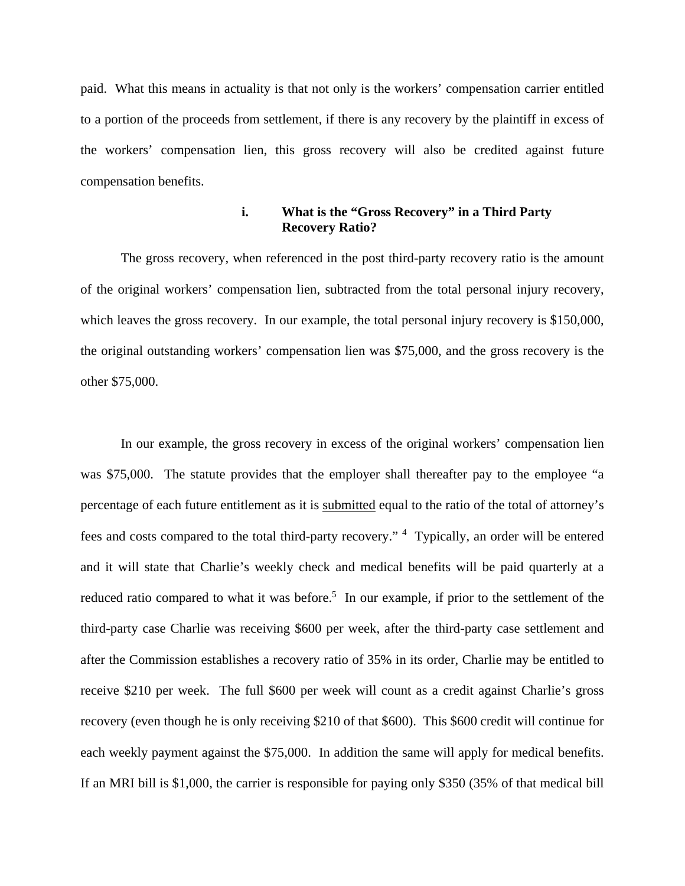paid. What this means in actuality is that not only is the workers' compensation carrier entitled to a portion of the proceeds from settlement, if there is any recovery by the plaintiff in excess of the workers' compensation lien, this gross recovery will also be credited against future compensation benefits.

## **i. What is the "Gross Recovery" in a Third Party Recovery Ratio?**

 The gross recovery, when referenced in the post third-party recovery ratio is the amount of the original workers' compensation lien, subtracted from the total personal injury recovery, which leaves the gross recovery. In our example, the total personal injury recovery is \$150,000, the original outstanding workers' compensation lien was \$75,000, and the gross recovery is the other \$75,000.

 In our example, the gross recovery in excess of the original workers' compensation lien was \$75,000. The statute provides that the employer shall thereafter pay to the employee "a percentage of each future entitlement as it is submitted equal to the ratio of the total of attorney's fees and costs compared to the total third-party recovery." <sup>4</sup> Typically, an order will be entered and it will state that Charlie's weekly check and medical benefits will be paid quarterly at a reduced ratio compared to what it was before.<sup>5</sup> In our example, if prior to the settlement of the third-party case Charlie was receiving \$600 per week, after the third-party case settlement and after the Commission establishes a recovery ratio of 35% in its order, Charlie may be entitled to receive \$210 per week. The full \$600 per week will count as a credit against Charlie's gross recovery (even though he is only receiving \$210 of that \$600). This \$600 credit will continue for each weekly payment against the \$75,000. In addition the same will apply for medical benefits. If an MRI bill is \$1,000, the carrier is responsible for paying only \$350 (35% of that medical bill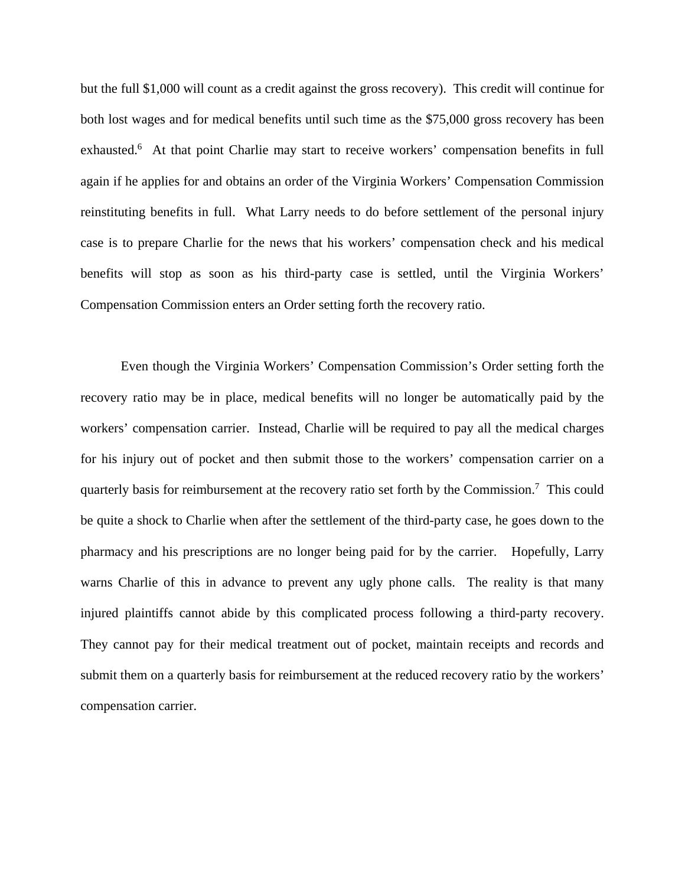but the full \$1,000 will count as a credit against the gross recovery). This credit will continue for both lost wages and for medical benefits until such time as the \$75,000 gross recovery has been exhausted.<sup>6</sup> At that point Charlie may start to receive workers' compensation benefits in full again if he applies for and obtains an order of the Virginia Workers' Compensation Commission reinstituting benefits in full. What Larry needs to do before settlement of the personal injury case is to prepare Charlie for the news that his workers' compensation check and his medical benefits will stop as soon as his third-party case is settled, until the Virginia Workers' Compensation Commission enters an Order setting forth the recovery ratio.

 Even though the Virginia Workers' Compensation Commission's Order setting forth the recovery ratio may be in place, medical benefits will no longer be automatically paid by the workers' compensation carrier. Instead, Charlie will be required to pay all the medical charges for his injury out of pocket and then submit those to the workers' compensation carrier on a quarterly basis for reimbursement at the recovery ratio set forth by the Commission.<sup>7</sup> This could be quite a shock to Charlie when after the settlement of the third-party case, he goes down to the pharmacy and his prescriptions are no longer being paid for by the carrier. Hopefully, Larry warns Charlie of this in advance to prevent any ugly phone calls. The reality is that many injured plaintiffs cannot abide by this complicated process following a third-party recovery. They cannot pay for their medical treatment out of pocket, maintain receipts and records and submit them on a quarterly basis for reimbursement at the reduced recovery ratio by the workers' compensation carrier.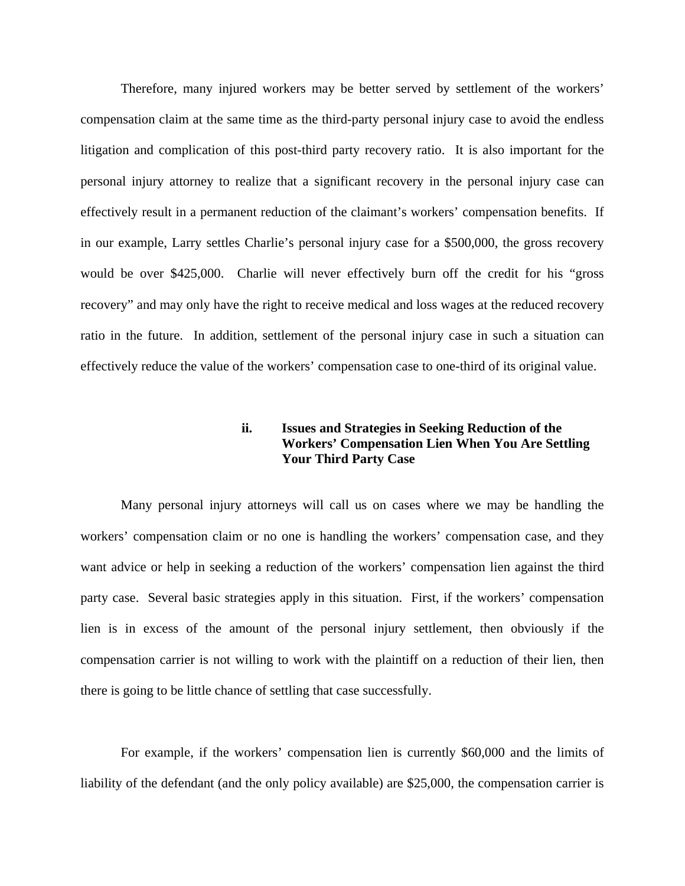Therefore, many injured workers may be better served by settlement of the workers' compensation claim at the same time as the third-party personal injury case to avoid the endless litigation and complication of this post-third party recovery ratio. It is also important for the personal injury attorney to realize that a significant recovery in the personal injury case can effectively result in a permanent reduction of the claimant's workers' compensation benefits. If in our example, Larry settles Charlie's personal injury case for a \$500,000, the gross recovery would be over \$425,000. Charlie will never effectively burn off the credit for his "gross recovery" and may only have the right to receive medical and loss wages at the reduced recovery ratio in the future. In addition, settlement of the personal injury case in such a situation can effectively reduce the value of the workers' compensation case to one-third of its original value.

# **ii. Issues and Strategies in Seeking Reduction of the Workers' Compensation Lien When You Are Settling Your Third Party Case**

 Many personal injury attorneys will call us on cases where we may be handling the workers' compensation claim or no one is handling the workers' compensation case, and they want advice or help in seeking a reduction of the workers' compensation lien against the third party case. Several basic strategies apply in this situation. First, if the workers' compensation lien is in excess of the amount of the personal injury settlement, then obviously if the compensation carrier is not willing to work with the plaintiff on a reduction of their lien, then there is going to be little chance of settling that case successfully.

 For example, if the workers' compensation lien is currently \$60,000 and the limits of liability of the defendant (and the only policy available) are \$25,000, the compensation carrier is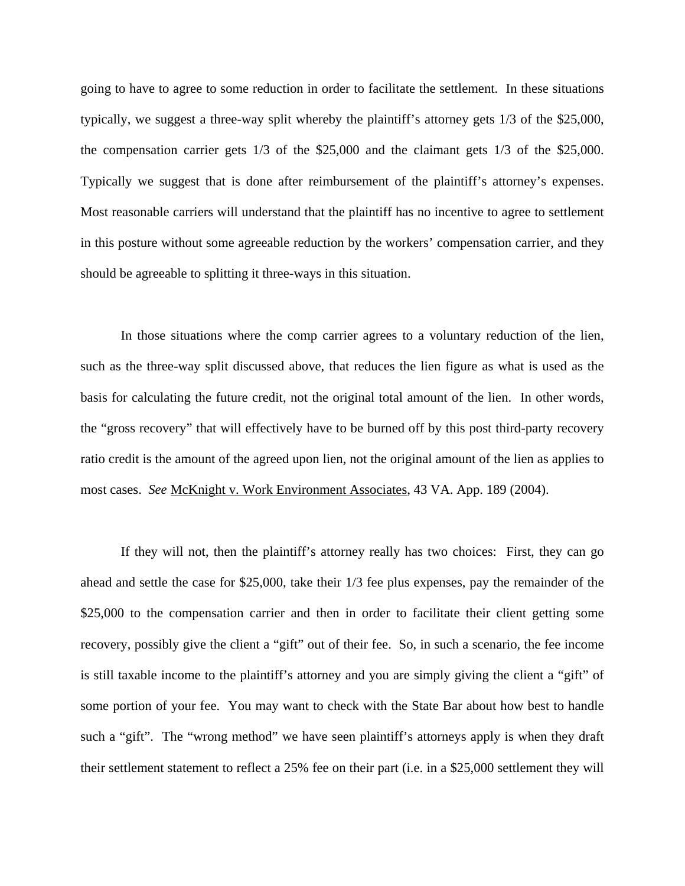going to have to agree to some reduction in order to facilitate the settlement. In these situations typically, we suggest a three-way split whereby the plaintiff's attorney gets 1/3 of the \$25,000, the compensation carrier gets 1/3 of the \$25,000 and the claimant gets 1/3 of the \$25,000. Typically we suggest that is done after reimbursement of the plaintiff's attorney's expenses. Most reasonable carriers will understand that the plaintiff has no incentive to agree to settlement in this posture without some agreeable reduction by the workers' compensation carrier, and they should be agreeable to splitting it three-ways in this situation.

 In those situations where the comp carrier agrees to a voluntary reduction of the lien, such as the three-way split discussed above, that reduces the lien figure as what is used as the basis for calculating the future credit, not the original total amount of the lien. In other words, the "gross recovery" that will effectively have to be burned off by this post third-party recovery ratio credit is the amount of the agreed upon lien, not the original amount of the lien as applies to most cases. *See* McKnight v. Work Environment Associates, 43 VA. App. 189 (2004).

 If they will not, then the plaintiff's attorney really has two choices: First, they can go ahead and settle the case for \$25,000, take their 1/3 fee plus expenses, pay the remainder of the \$25,000 to the compensation carrier and then in order to facilitate their client getting some recovery, possibly give the client a "gift" out of their fee. So, in such a scenario, the fee income is still taxable income to the plaintiff's attorney and you are simply giving the client a "gift" of some portion of your fee. You may want to check with the State Bar about how best to handle such a "gift". The "wrong method" we have seen plaintiff's attorneys apply is when they draft their settlement statement to reflect a 25% fee on their part (i.e. in a \$25,000 settlement they will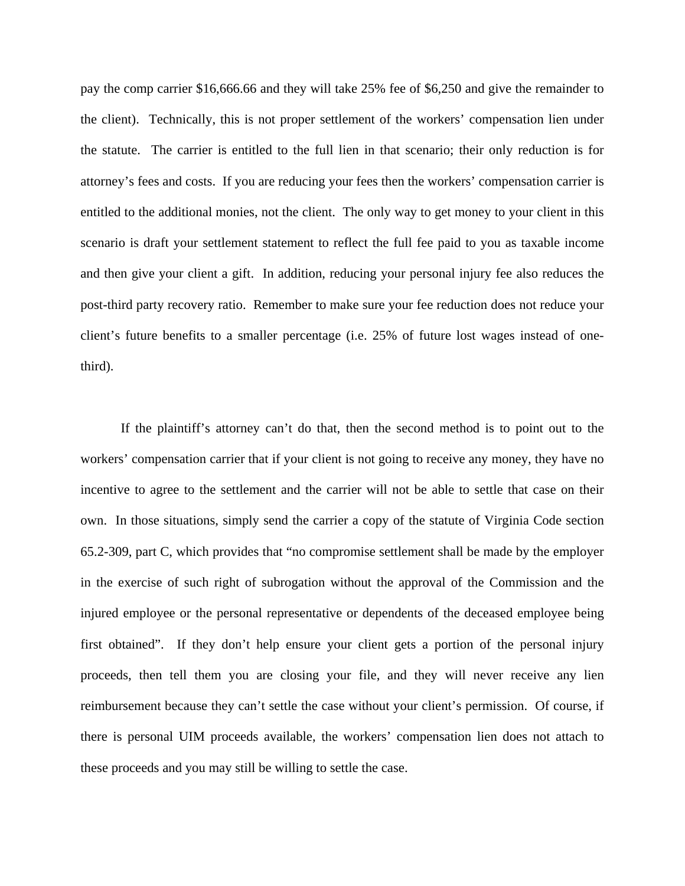pay the comp carrier \$16,666.66 and they will take 25% fee of \$6,250 and give the remainder to the client). Technically, this is not proper settlement of the workers' compensation lien under the statute. The carrier is entitled to the full lien in that scenario; their only reduction is for attorney's fees and costs. If you are reducing your fees then the workers' compensation carrier is entitled to the additional monies, not the client. The only way to get money to your client in this scenario is draft your settlement statement to reflect the full fee paid to you as taxable income and then give your client a gift. In addition, reducing your personal injury fee also reduces the post-third party recovery ratio. Remember to make sure your fee reduction does not reduce your client's future benefits to a smaller percentage (i.e. 25% of future lost wages instead of onethird).

 If the plaintiff's attorney can't do that, then the second method is to point out to the workers' compensation carrier that if your client is not going to receive any money, they have no incentive to agree to the settlement and the carrier will not be able to settle that case on their own. In those situations, simply send the carrier a copy of the statute of Virginia Code section 65.2-309, part C, which provides that "no compromise settlement shall be made by the employer in the exercise of such right of subrogation without the approval of the Commission and the injured employee or the personal representative or dependents of the deceased employee being first obtained". If they don't help ensure your client gets a portion of the personal injury proceeds, then tell them you are closing your file, and they will never receive any lien reimbursement because they can't settle the case without your client's permission. Of course, if there is personal UIM proceeds available, the workers' compensation lien does not attach to these proceeds and you may still be willing to settle the case.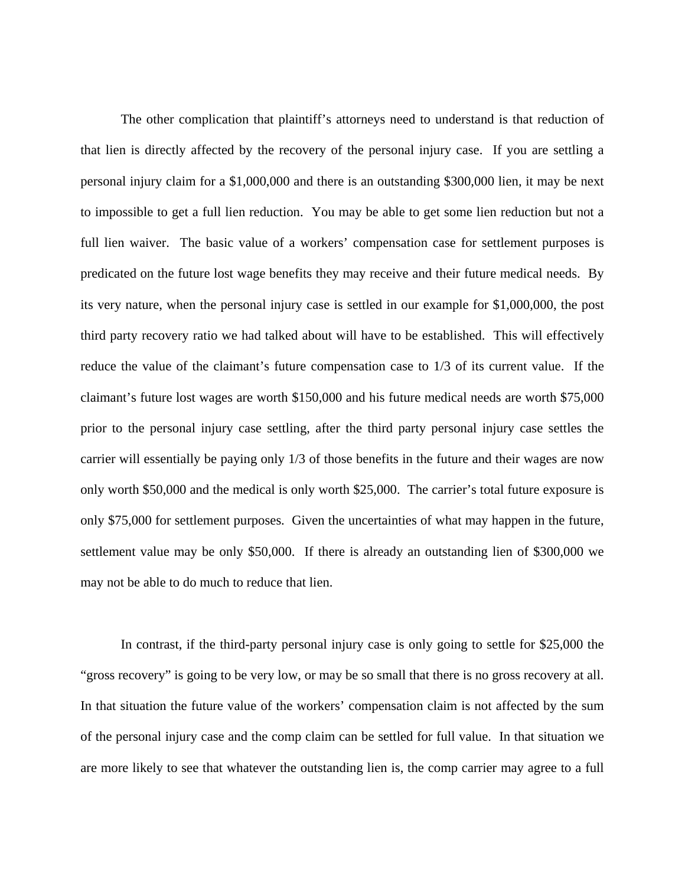The other complication that plaintiff's attorneys need to understand is that reduction of that lien is directly affected by the recovery of the personal injury case. If you are settling a personal injury claim for a \$1,000,000 and there is an outstanding \$300,000 lien, it may be next to impossible to get a full lien reduction. You may be able to get some lien reduction but not a full lien waiver. The basic value of a workers' compensation case for settlement purposes is predicated on the future lost wage benefits they may receive and their future medical needs. By its very nature, when the personal injury case is settled in our example for \$1,000,000, the post third party recovery ratio we had talked about will have to be established. This will effectively reduce the value of the claimant's future compensation case to 1/3 of its current value. If the claimant's future lost wages are worth \$150,000 and his future medical needs are worth \$75,000 prior to the personal injury case settling, after the third party personal injury case settles the carrier will essentially be paying only 1/3 of those benefits in the future and their wages are now only worth \$50,000 and the medical is only worth \$25,000. The carrier's total future exposure is only \$75,000 for settlement purposes. Given the uncertainties of what may happen in the future, settlement value may be only \$50,000. If there is already an outstanding lien of \$300,000 we may not be able to do much to reduce that lien.

 In contrast, if the third-party personal injury case is only going to settle for \$25,000 the "gross recovery" is going to be very low, or may be so small that there is no gross recovery at all. In that situation the future value of the workers' compensation claim is not affected by the sum of the personal injury case and the comp claim can be settled for full value. In that situation we are more likely to see that whatever the outstanding lien is, the comp carrier may agree to a full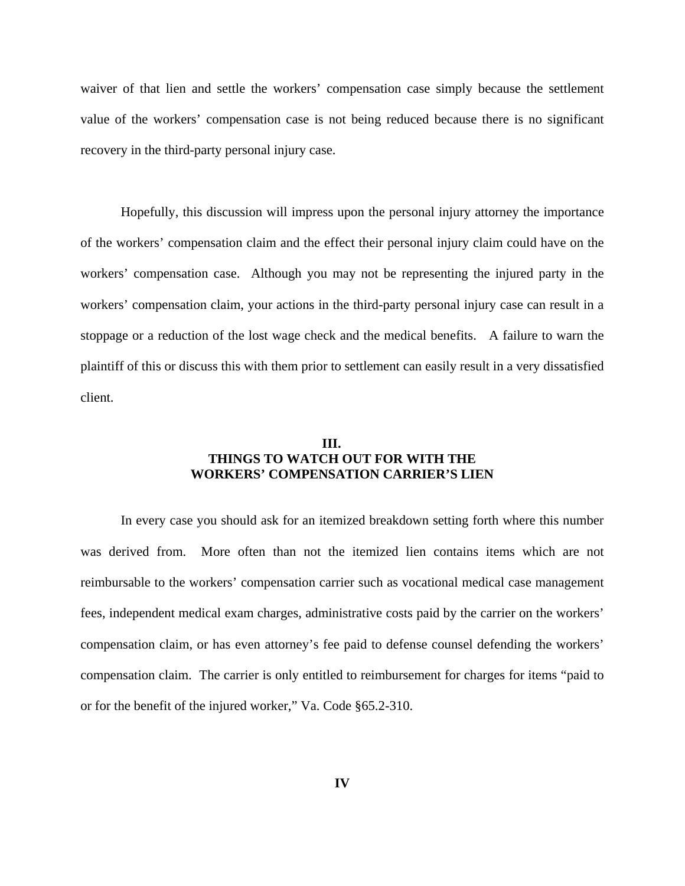waiver of that lien and settle the workers' compensation case simply because the settlement value of the workers' compensation case is not being reduced because there is no significant recovery in the third-party personal injury case.

 Hopefully, this discussion will impress upon the personal injury attorney the importance of the workers' compensation claim and the effect their personal injury claim could have on the workers' compensation case. Although you may not be representing the injured party in the workers' compensation claim, your actions in the third-party personal injury case can result in a stoppage or a reduction of the lost wage check and the medical benefits. A failure to warn the plaintiff of this or discuss this with them prior to settlement can easily result in a very dissatisfied client.

## **III. THINGS TO WATCH OUT FOR WITH THE WORKERS' COMPENSATION CARRIER'S LIEN**

 In every case you should ask for an itemized breakdown setting forth where this number was derived from. More often than not the itemized lien contains items which are not reimbursable to the workers' compensation carrier such as vocational medical case management fees, independent medical exam charges, administrative costs paid by the carrier on the workers' compensation claim, or has even attorney's fee paid to defense counsel defending the workers' compensation claim. The carrier is only entitled to reimbursement for charges for items "paid to or for the benefit of the injured worker," Va. Code §65.2-310.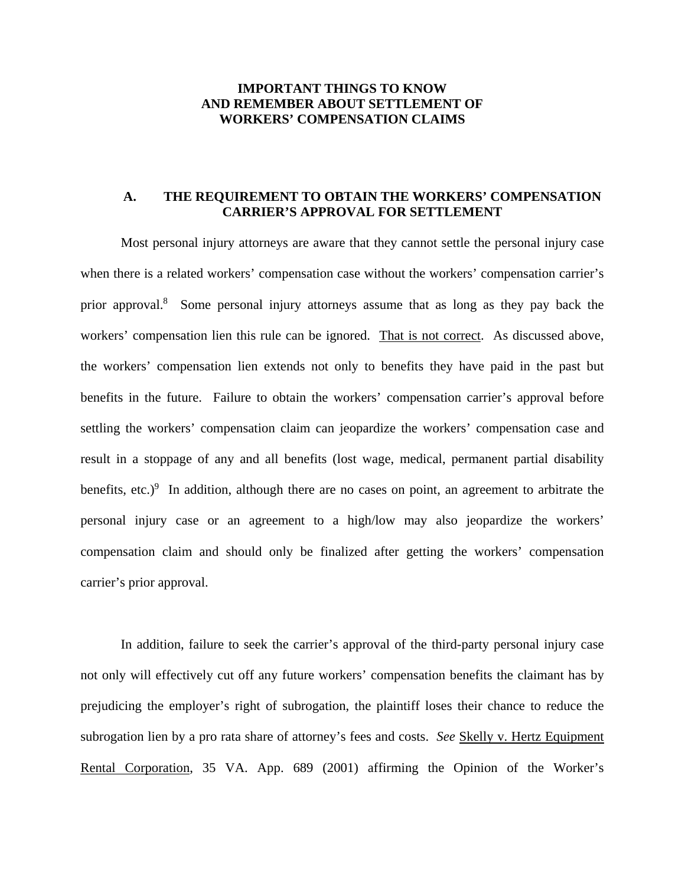## **IMPORTANT THINGS TO KNOW AND REMEMBER ABOUT SETTLEMENT OF WORKERS' COMPENSATION CLAIMS**

## **A. THE REQUIREMENT TO OBTAIN THE WORKERS' COMPENSATION CARRIER'S APPROVAL FOR SETTLEMENT**

 Most personal injury attorneys are aware that they cannot settle the personal injury case when there is a related workers' compensation case without the workers' compensation carrier's prior approval.<sup>8</sup> Some personal injury attorneys assume that as long as they pay back the workers' compensation lien this rule can be ignored. That is not correct. As discussed above, the workers' compensation lien extends not only to benefits they have paid in the past but benefits in the future. Failure to obtain the workers' compensation carrier's approval before settling the workers' compensation claim can jeopardize the workers' compensation case and result in a stoppage of any and all benefits (lost wage, medical, permanent partial disability benefits, etc.) $9$  In addition, although there are no cases on point, an agreement to arbitrate the personal injury case or an agreement to a high/low may also jeopardize the workers' compensation claim and should only be finalized after getting the workers' compensation carrier's prior approval.

 In addition, failure to seek the carrier's approval of the third-party personal injury case not only will effectively cut off any future workers' compensation benefits the claimant has by prejudicing the employer's right of subrogation, the plaintiff loses their chance to reduce the subrogation lien by a pro rata share of attorney's fees and costs. *See* Skelly v. Hertz Equipment Rental Corporation, 35 VA. App. 689 (2001) affirming the Opinion of the Worker's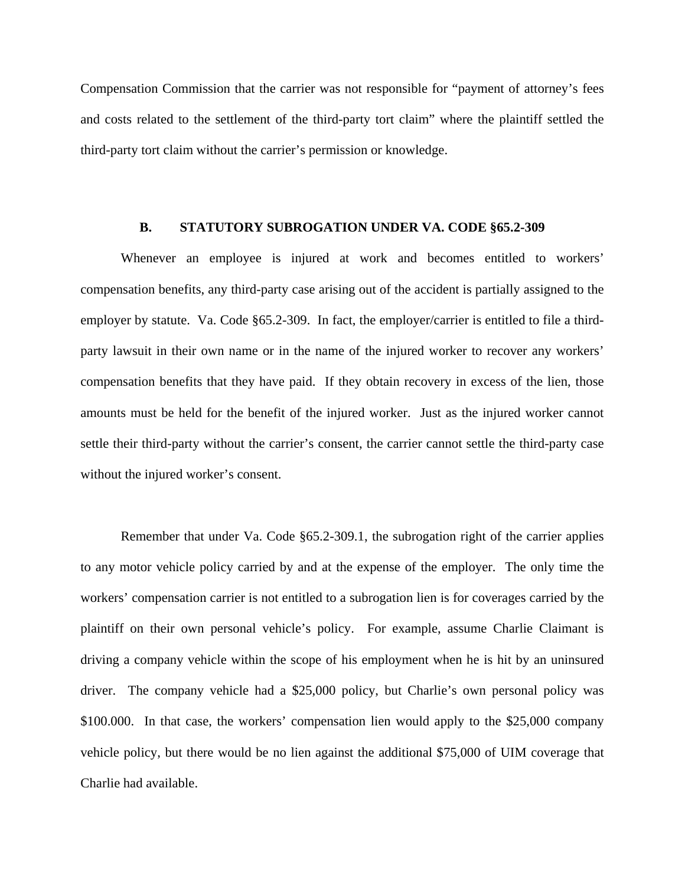Compensation Commission that the carrier was not responsible for "payment of attorney's fees and costs related to the settlement of the third-party tort claim" where the plaintiff settled the third-party tort claim without the carrier's permission or knowledge.

#### **B. STATUTORY SUBROGATION UNDER VA. CODE §65.2-309**

 Whenever an employee is injured at work and becomes entitled to workers' compensation benefits, any third-party case arising out of the accident is partially assigned to the employer by statute. Va. Code §65.2-309. In fact, the employer/carrier is entitled to file a thirdparty lawsuit in their own name or in the name of the injured worker to recover any workers' compensation benefits that they have paid. If they obtain recovery in excess of the lien, those amounts must be held for the benefit of the injured worker. Just as the injured worker cannot settle their third-party without the carrier's consent, the carrier cannot settle the third-party case without the injured worker's consent.

 Remember that under Va. Code §65.2-309.1, the subrogation right of the carrier applies to any motor vehicle policy carried by and at the expense of the employer. The only time the workers' compensation carrier is not entitled to a subrogation lien is for coverages carried by the plaintiff on their own personal vehicle's policy. For example, assume Charlie Claimant is driving a company vehicle within the scope of his employment when he is hit by an uninsured driver. The company vehicle had a \$25,000 policy, but Charlie's own personal policy was \$100.000. In that case, the workers' compensation lien would apply to the \$25,000 company vehicle policy, but there would be no lien against the additional \$75,000 of UIM coverage that Charlie had available.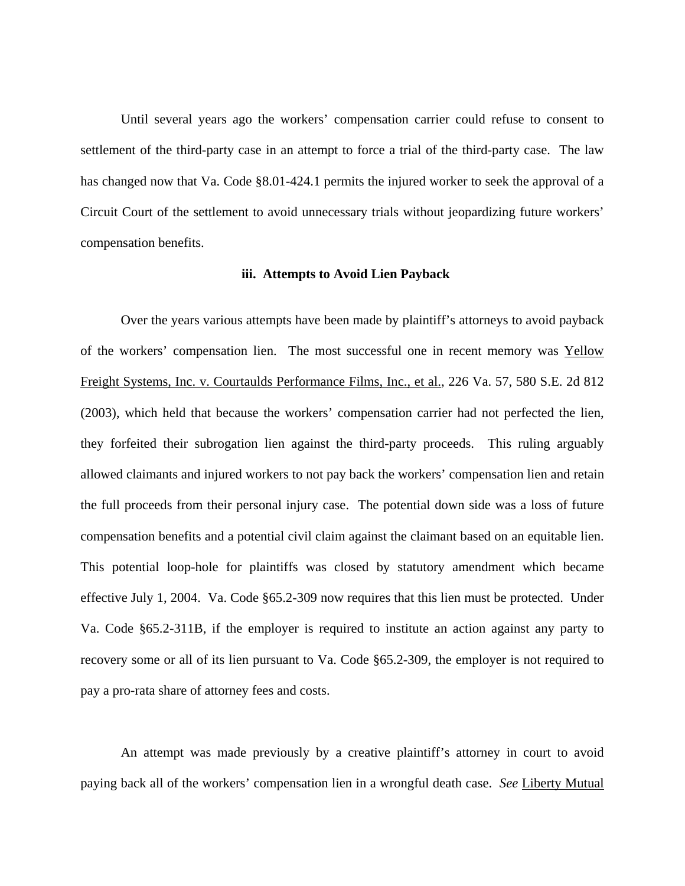Until several years ago the workers' compensation carrier could refuse to consent to settlement of the third-party case in an attempt to force a trial of the third-party case. The law has changed now that Va. Code §8.01-424.1 permits the injured worker to seek the approval of a Circuit Court of the settlement to avoid unnecessary trials without jeopardizing future workers' compensation benefits.

#### **iii. Attempts to Avoid Lien Payback**

 Over the years various attempts have been made by plaintiff's attorneys to avoid payback of the workers' compensation lien. The most successful one in recent memory was Yellow Freight Systems, Inc. v. Courtaulds Performance Films, Inc., et al., 226 Va. 57, 580 S.E. 2d 812 (2003), which held that because the workers' compensation carrier had not perfected the lien, they forfeited their subrogation lien against the third-party proceeds. This ruling arguably allowed claimants and injured workers to not pay back the workers' compensation lien and retain the full proceeds from their personal injury case. The potential down side was a loss of future compensation benefits and a potential civil claim against the claimant based on an equitable lien. This potential loop-hole for plaintiffs was closed by statutory amendment which became effective July 1, 2004. Va. Code §65.2-309 now requires that this lien must be protected. Under Va. Code §65.2-311B, if the employer is required to institute an action against any party to recovery some or all of its lien pursuant to Va. Code §65.2-309, the employer is not required to pay a pro-rata share of attorney fees and costs.

 An attempt was made previously by a creative plaintiff's attorney in court to avoid paying back all of the workers' compensation lien in a wrongful death case. *See* Liberty Mutual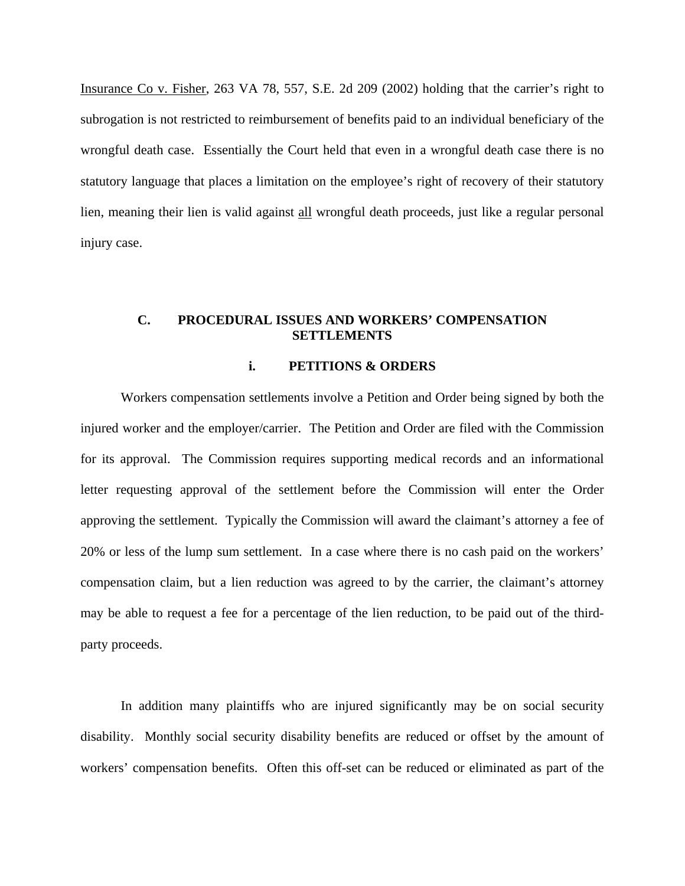Insurance Co v. Fisher, 263 VA 78, 557, S.E. 2d 209 (2002) holding that the carrier's right to subrogation is not restricted to reimbursement of benefits paid to an individual beneficiary of the wrongful death case. Essentially the Court held that even in a wrongful death case there is no statutory language that places a limitation on the employee's right of recovery of their statutory lien, meaning their lien is valid against all wrongful death proceeds, just like a regular personal injury case.

## **C. PROCEDURAL ISSUES AND WORKERS' COMPENSATION SETTLEMENTS**

#### **i. PETITIONS & ORDERS**

 Workers compensation settlements involve a Petition and Order being signed by both the injured worker and the employer/carrier. The Petition and Order are filed with the Commission for its approval. The Commission requires supporting medical records and an informational letter requesting approval of the settlement before the Commission will enter the Order approving the settlement. Typically the Commission will award the claimant's attorney a fee of 20% or less of the lump sum settlement. In a case where there is no cash paid on the workers' compensation claim, but a lien reduction was agreed to by the carrier, the claimant's attorney may be able to request a fee for a percentage of the lien reduction, to be paid out of the thirdparty proceeds.

 In addition many plaintiffs who are injured significantly may be on social security disability. Monthly social security disability benefits are reduced or offset by the amount of workers' compensation benefits. Often this off-set can be reduced or eliminated as part of the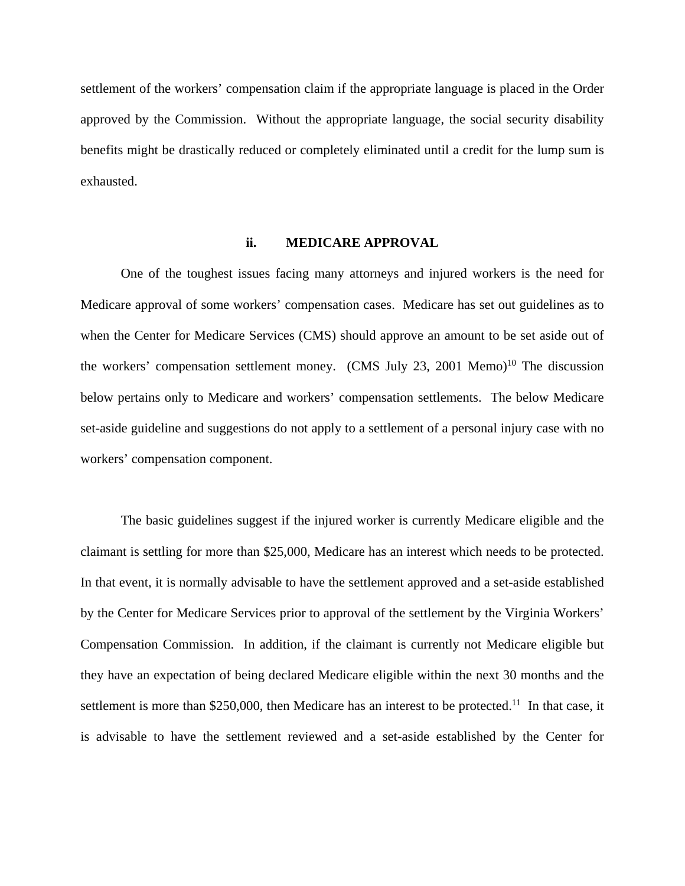settlement of the workers' compensation claim if the appropriate language is placed in the Order approved by the Commission. Without the appropriate language, the social security disability benefits might be drastically reduced or completely eliminated until a credit for the lump sum is exhausted.

#### **ii. MEDICARE APPROVAL**

 One of the toughest issues facing many attorneys and injured workers is the need for Medicare approval of some workers' compensation cases. Medicare has set out guidelines as to when the Center for Medicare Services (CMS) should approve an amount to be set aside out of the workers' compensation settlement money. (CMS July 23, 2001 Memo)<sup>10</sup> The discussion below pertains only to Medicare and workers' compensation settlements. The below Medicare set-aside guideline and suggestions do not apply to a settlement of a personal injury case with no workers' compensation component.

 The basic guidelines suggest if the injured worker is currently Medicare eligible and the claimant is settling for more than \$25,000, Medicare has an interest which needs to be protected. In that event, it is normally advisable to have the settlement approved and a set-aside established by the Center for Medicare Services prior to approval of the settlement by the Virginia Workers' Compensation Commission. In addition, if the claimant is currently not Medicare eligible but they have an expectation of being declared Medicare eligible within the next 30 months and the settlement is more than \$250,000, then Medicare has an interest to be protected.<sup>11</sup> In that case, it is advisable to have the settlement reviewed and a set-aside established by the Center for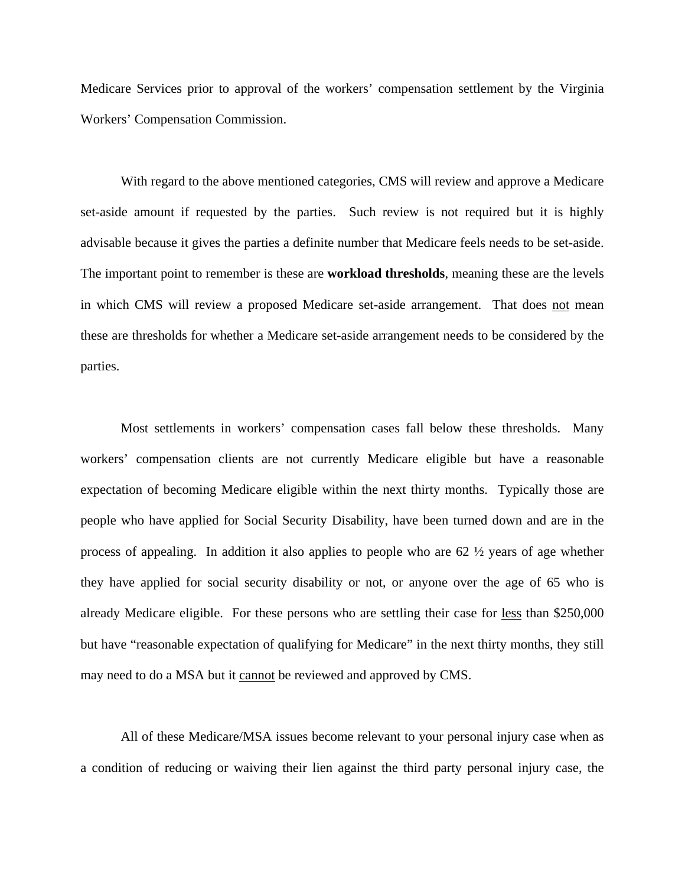Medicare Services prior to approval of the workers' compensation settlement by the Virginia Workers' Compensation Commission.

 With regard to the above mentioned categories, CMS will review and approve a Medicare set-aside amount if requested by the parties. Such review is not required but it is highly advisable because it gives the parties a definite number that Medicare feels needs to be set-aside. The important point to remember is these are **workload thresholds**, meaning these are the levels in which CMS will review a proposed Medicare set-aside arrangement. That does not mean these are thresholds for whether a Medicare set-aside arrangement needs to be considered by the parties.

 Most settlements in workers' compensation cases fall below these thresholds. Many workers' compensation clients are not currently Medicare eligible but have a reasonable expectation of becoming Medicare eligible within the next thirty months. Typically those are people who have applied for Social Security Disability, have been turned down and are in the process of appealing. In addition it also applies to people who are 62 ½ years of age whether they have applied for social security disability or not, or anyone over the age of 65 who is already Medicare eligible. For these persons who are settling their case for less than \$250,000 but have "reasonable expectation of qualifying for Medicare" in the next thirty months, they still may need to do a MSA but it cannot be reviewed and approved by CMS.

 All of these Medicare/MSA issues become relevant to your personal injury case when as a condition of reducing or waiving their lien against the third party personal injury case, the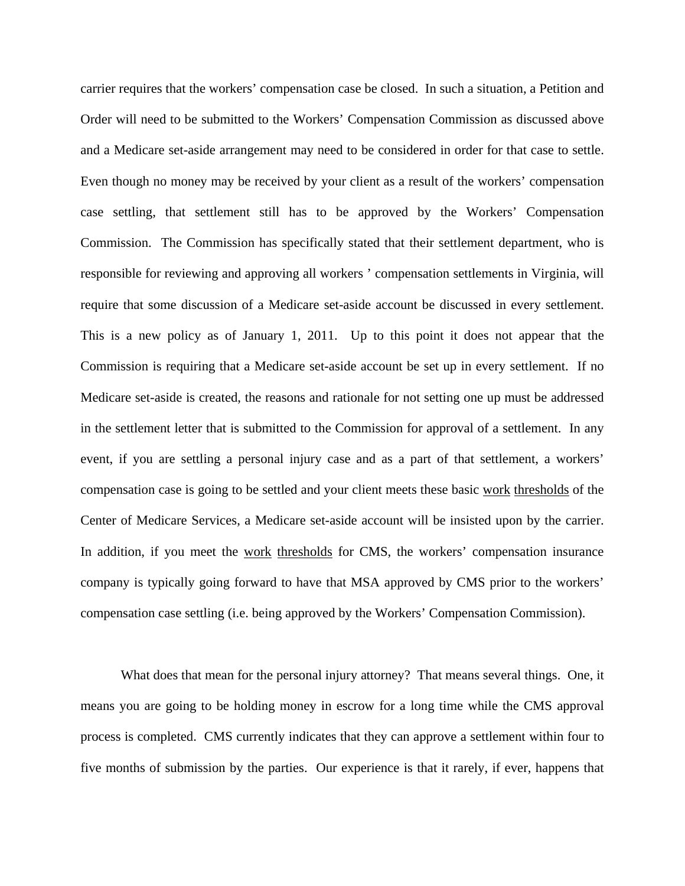carrier requires that the workers' compensation case be closed. In such a situation, a Petition and Order will need to be submitted to the Workers' Compensation Commission as discussed above and a Medicare set-aside arrangement may need to be considered in order for that case to settle. Even though no money may be received by your client as a result of the workers' compensation case settling, that settlement still has to be approved by the Workers' Compensation Commission. The Commission has specifically stated that their settlement department, who is responsible for reviewing and approving all workers ' compensation settlements in Virginia, will require that some discussion of a Medicare set-aside account be discussed in every settlement. This is a new policy as of January 1, 2011. Up to this point it does not appear that the Commission is requiring that a Medicare set-aside account be set up in every settlement. If no Medicare set-aside is created, the reasons and rationale for not setting one up must be addressed in the settlement letter that is submitted to the Commission for approval of a settlement. In any event, if you are settling a personal injury case and as a part of that settlement, a workers' compensation case is going to be settled and your client meets these basic work thresholds of the Center of Medicare Services, a Medicare set-aside account will be insisted upon by the carrier. In addition, if you meet the work thresholds for CMS, the workers' compensation insurance company is typically going forward to have that MSA approved by CMS prior to the workers' compensation case settling (i.e. being approved by the Workers' Compensation Commission).

 What does that mean for the personal injury attorney? That means several things. One, it means you are going to be holding money in escrow for a long time while the CMS approval process is completed. CMS currently indicates that they can approve a settlement within four to five months of submission by the parties. Our experience is that it rarely, if ever, happens that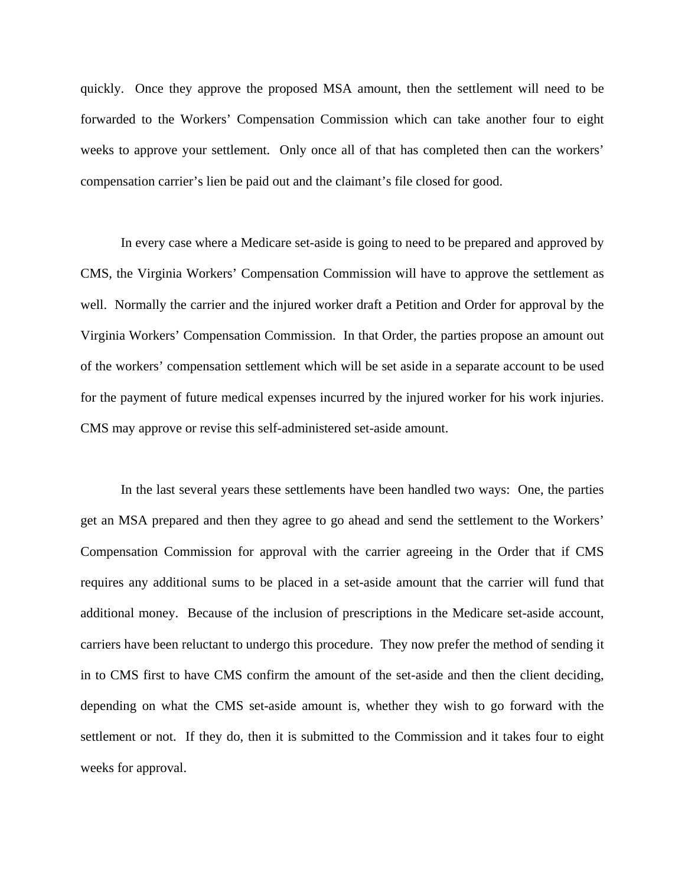quickly. Once they approve the proposed MSA amount, then the settlement will need to be forwarded to the Workers' Compensation Commission which can take another four to eight weeks to approve your settlement. Only once all of that has completed then can the workers' compensation carrier's lien be paid out and the claimant's file closed for good.

 In every case where a Medicare set-aside is going to need to be prepared and approved by CMS, the Virginia Workers' Compensation Commission will have to approve the settlement as well. Normally the carrier and the injured worker draft a Petition and Order for approval by the Virginia Workers' Compensation Commission. In that Order, the parties propose an amount out of the workers' compensation settlement which will be set aside in a separate account to be used for the payment of future medical expenses incurred by the injured worker for his work injuries. CMS may approve or revise this self-administered set-aside amount.

 In the last several years these settlements have been handled two ways: One, the parties get an MSA prepared and then they agree to go ahead and send the settlement to the Workers' Compensation Commission for approval with the carrier agreeing in the Order that if CMS requires any additional sums to be placed in a set-aside amount that the carrier will fund that additional money. Because of the inclusion of prescriptions in the Medicare set-aside account, carriers have been reluctant to undergo this procedure. They now prefer the method of sending it in to CMS first to have CMS confirm the amount of the set-aside and then the client deciding, depending on what the CMS set-aside amount is, whether they wish to go forward with the settlement or not. If they do, then it is submitted to the Commission and it takes four to eight weeks for approval.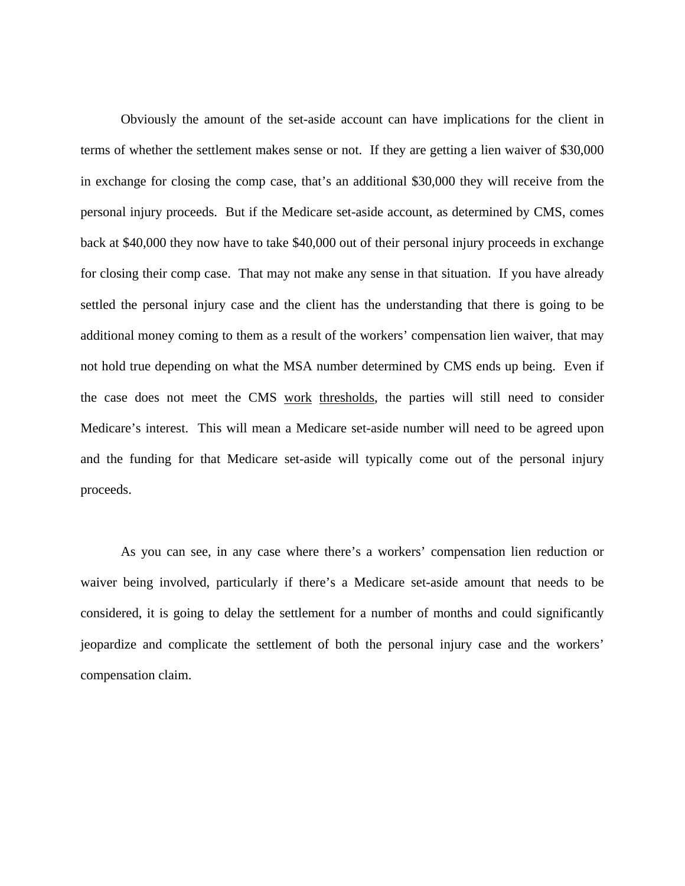Obviously the amount of the set-aside account can have implications for the client in terms of whether the settlement makes sense or not. If they are getting a lien waiver of \$30,000 in exchange for closing the comp case, that's an additional \$30,000 they will receive from the personal injury proceeds. But if the Medicare set-aside account, as determined by CMS, comes back at \$40,000 they now have to take \$40,000 out of their personal injury proceeds in exchange for closing their comp case. That may not make any sense in that situation. If you have already settled the personal injury case and the client has the understanding that there is going to be additional money coming to them as a result of the workers' compensation lien waiver, that may not hold true depending on what the MSA number determined by CMS ends up being. Even if the case does not meet the CMS work thresholds, the parties will still need to consider Medicare's interest. This will mean a Medicare set-aside number will need to be agreed upon and the funding for that Medicare set-aside will typically come out of the personal injury proceeds.

 As you can see, in any case where there's a workers' compensation lien reduction or waiver being involved, particularly if there's a Medicare set-aside amount that needs to be considered, it is going to delay the settlement for a number of months and could significantly jeopardize and complicate the settlement of both the personal injury case and the workers' compensation claim.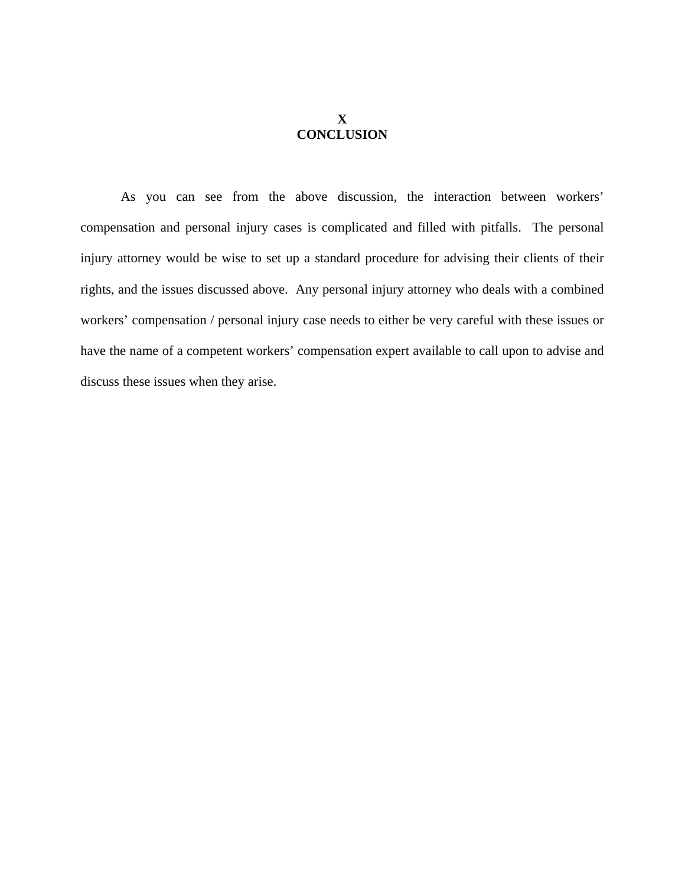# **X CONCLUSION**

 As you can see from the above discussion, the interaction between workers' compensation and personal injury cases is complicated and filled with pitfalls. The personal injury attorney would be wise to set up a standard procedure for advising their clients of their rights, and the issues discussed above. Any personal injury attorney who deals with a combined workers' compensation / personal injury case needs to either be very careful with these issues or have the name of a competent workers' compensation expert available to call upon to advise and discuss these issues when they arise.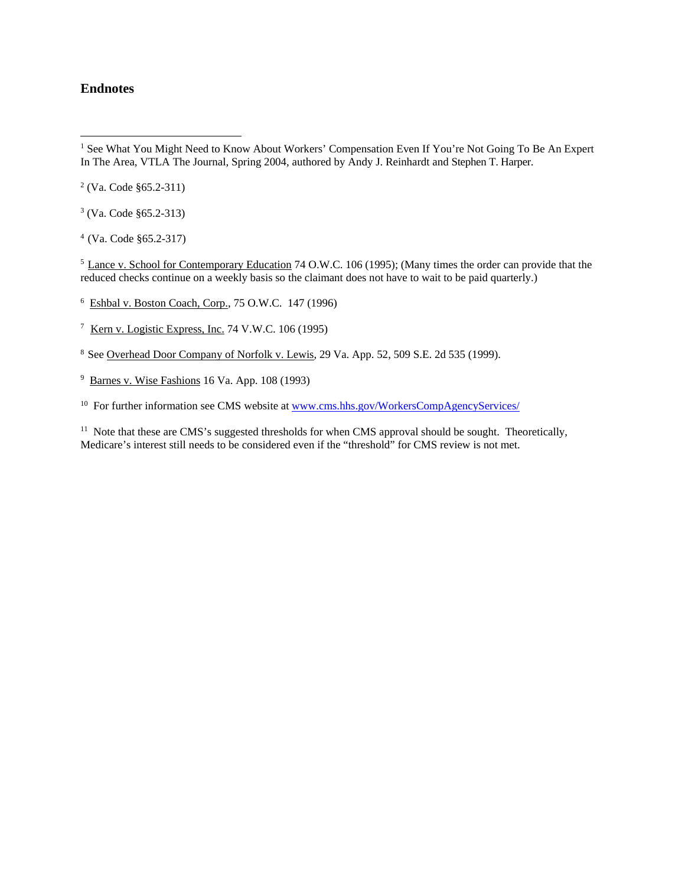#### **Endnotes**

 $2$  (Va. Code §65.2-311)

3 (Va. Code §65.2-313)

4 (Va. Code §65.2-317)

<sup>5</sup> Lance v. School for Contemporary Education 74 O.W.C. 106 (1995); (Many times the order can provide that the reduced checks continue on a weekly basis so the claimant does not have to wait to be paid quarterly.)

<sup>6</sup> Eshbal v. Boston Coach, Corp., 75 O.W.C. 147 (1996)

7 Kern v. Logistic Express, Inc. 74 V.W.C. 106 (1995)

8 See Overhead Door Company of Norfolk v. Lewis, 29 Va. App. 52, 509 S.E. 2d 535 (1999).

 $9$  Barnes v. Wise Fashions 16 Va. App. 108 (1993)

<sup>10</sup> For further information see CMS website at www.cms.hhs.gov/WorkersCompAgencyServices/

 $11$  Note that these are CMS's suggested thresholds for when CMS approval should be sought. Theoretically, Medicare's interest still needs to be considered even if the "threshold" for CMS review is not met.

<sup>&</sup>lt;sup>1</sup> See What You Might Need to Know About Workers' Compensation Even If You're Not Going To Be An Expert In The Area, VTLA The Journal, Spring 2004, authored by Andy J. Reinhardt and Stephen T. Harper.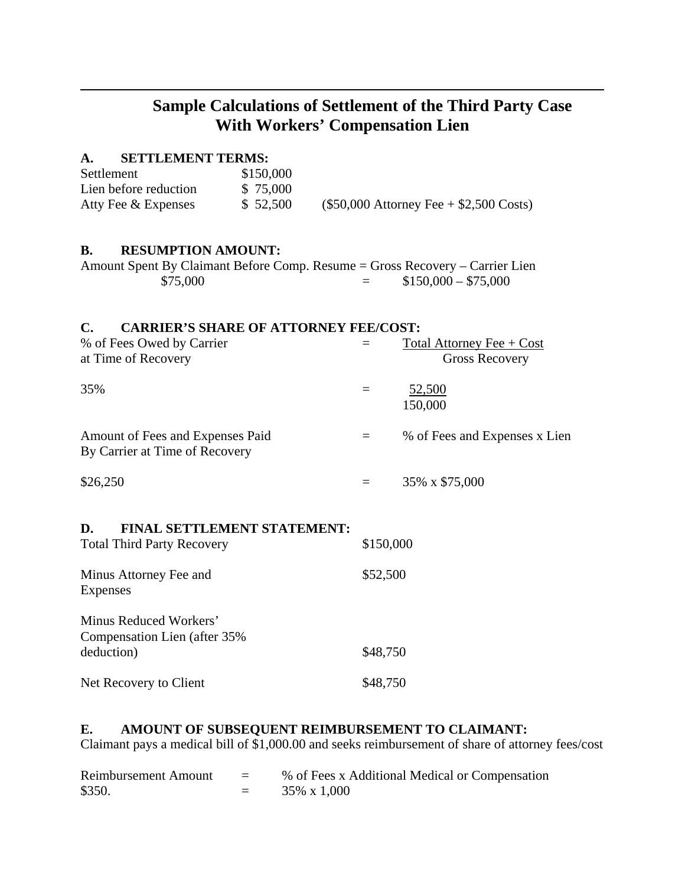# **Sample Calculations of Settlement of the Third Party Case With Workers' Compensation Lien**

# **A. SETTLEMENT TERMS:**

 $\overline{a}$ 

| Settlement            | \$150,000 |                                          |
|-----------------------|-----------|------------------------------------------|
| Lien before reduction | \$75,000  |                                          |
| Atty Fee & Expenses   | \$52,500  | $($50,000$ Attorney Fee + \$2,500 Costs) |

## **B. RESUMPTION AMOUNT:**

| Amount Spent By Claimant Before Comp. Resume = Gross Recovery – Carrier Lien |     |                      |  |
|------------------------------------------------------------------------------|-----|----------------------|--|
| \$75,000                                                                     | $=$ | $$150,000 - $75,000$ |  |

# **C. CARRIER'S SHARE OF ATTORNEY FEE/COST:**

| % of Fees Owed by Carrier<br>at Time of Recovery                              |           | Total Attorney Fee $+$ Cost<br><b>Gross Recovery</b> |  |
|-------------------------------------------------------------------------------|-----------|------------------------------------------------------|--|
| 35%                                                                           | $=$       | <u>52,500</u><br>150,000                             |  |
| Amount of Fees and Expenses Paid<br>By Carrier at Time of Recovery            | $=$       | % of Fees and Expenses x Lien                        |  |
| \$26,250                                                                      | $=$       | 35% x \$75,000                                       |  |
| D.<br><b>FINAL SETTLEMENT STATEMENT:</b><br><b>Total Third Party Recovery</b> | \$150,000 |                                                      |  |
| Minus Attorney Fee and<br>Expenses                                            | \$52,500  |                                                      |  |
| Minus Reduced Workers'<br>Compensation Lien (after 35%)                       |           |                                                      |  |

| deduction)             | \$48,750 |
|------------------------|----------|
| Net Recovery to Client | \$48,750 |

# **E. AMOUNT OF SUBSEQUENT REIMBURSEMENT TO CLAIMANT:**

Claimant pays a medical bill of \$1,000.00 and seeks reimbursement of share of attorney fees/cost

| Reimbursement Amount | $\equiv$ | % of Fees x Additional Medical or Compensation |
|----------------------|----------|------------------------------------------------|
| \$350.               |          | 35% x 1,000                                    |